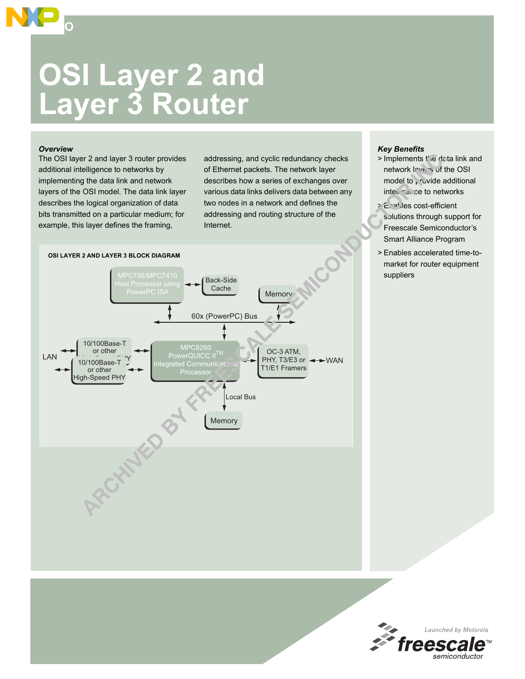

## *Overview*

**SOHO**

The OSI layer 2 and layer 3 router provides additional intelligence to networks by implementing the data link and network layers of the OSI model. The data link layer describes the logical organization of data bits transmitted on a particular medium; for example, this layer defines the framing,

addressing, and cyclic redundancy checks of Ethernet packets. The network layer describes how a series of exchanges over various data links delivers data between any two nodes in a network and defines the addressing and routing structure of the Internet.



- > Implements the data link and network lawers of the OSI model to  $\sqrt{v}$  vide additional intelligence to networks
- > Enables cost-efficient solutions through support for Freescale Semiconductor's Smart Alliance Program
- > Enables accelerated time-tomarket for router equipment suppliers



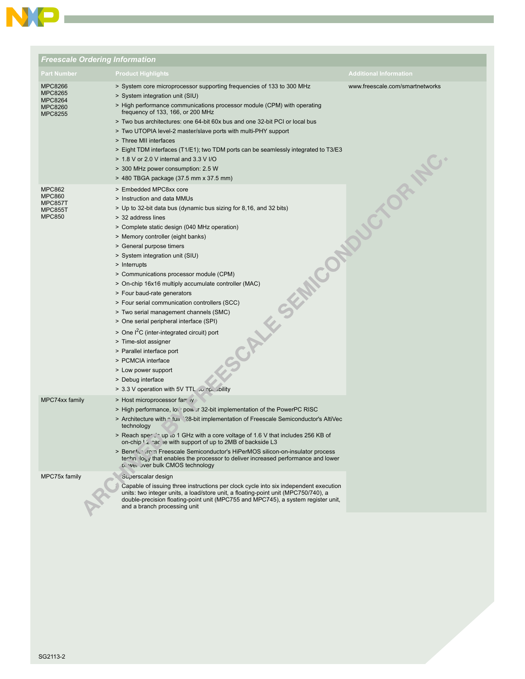

| <b>Freescale Ordering Information</b>                                                  |                                                                                                                                                                                                                                                                                                                                                                                                                                                                                                                                                                                                                                                                                                                                                                                                                                                            |                                 |  |  |
|----------------------------------------------------------------------------------------|------------------------------------------------------------------------------------------------------------------------------------------------------------------------------------------------------------------------------------------------------------------------------------------------------------------------------------------------------------------------------------------------------------------------------------------------------------------------------------------------------------------------------------------------------------------------------------------------------------------------------------------------------------------------------------------------------------------------------------------------------------------------------------------------------------------------------------------------------------|---------------------------------|--|--|
| <b>Part Number</b>                                                                     | <b>Product Highlights</b>                                                                                                                                                                                                                                                                                                                                                                                                                                                                                                                                                                                                                                                                                                                                                                                                                                  | <b>Additional Information</b>   |  |  |
| <b>MPC8266</b><br><b>MPC8265</b><br><b>MPC8264</b><br><b>MPC8260</b><br><b>MPC8255</b> | > System core microprocessor supporting frequencies of 133 to 300 MHz<br>> System integration unit (SIU)<br>> High performance communications processor module (CPM) with operating<br>frequency of 133, 166, or 200 MHz<br>> Two bus architectures: one 64-bit 60x bus and one 32-bit PCI or local bus<br>> Two UTOPIA level-2 master/slave ports with multi-PHY support<br>> Three MII interfaces<br>> Eight TDM interfaces (T1/E1); two TDM ports can be seamlessly integrated to T3/E3<br>> 1.8 V or 2.0 V internal and 3.3 V I/O<br>> 300 MHz power consumption: 2.5 W<br>> 480 TBGA package (37.5 mm x 37.5 mm)                                                                                                                                                                                                                                      | www.freescale.com/smartnetworks |  |  |
| <b>MPC862</b><br><b>MPC860</b><br>MPC857T<br><b>MPC855T</b><br><b>MPC850</b>           | > Embedded MPC8xx core<br>> Instruction and data MMUs<br>> Up to 32-bit data bus (dynamic bus sizing for 8,16, and 32 bits)<br>> 32 address lines<br>> Complete static design (040 MHz operation)<br>> Memory controller (eight banks)<br>> General purpose timers<br><b>PILK SEMICON</b><br>> System integration unit (SIU)<br>> Interrupts<br>> Communications processor module (CPM)<br>> On-chip 16x16 multiply accumulate controller (MAC)<br>> Four baud-rate generators<br>> Four serial communication controllers (SCC)<br>> Two serial management channels (SMC)<br>> One serial peripheral interface (SPI)<br>> One I <sup>2</sup> C (inter-integrated circuit) port<br>> Time-slot assigner<br>> Parallel interface port<br>> PCMCIA interface<br>> Low power support<br>> Debug interface<br>bility > 3.3 V operation with 5V TTL so np. inity |                                 |  |  |
| MPC74xx family                                                                         | > Host microprocessor far iv<br>> High performance, low power 32-bit implementation of the PowerPC RISC<br>> Architecture with $\cap$ fun 28-bit implementation of Freescale Semiconductor's AltiVec<br>technology<br>> Reach spe⊖in up to 1 GHz with a core voltage of 1.6 V that includes 256 KB of<br>on-chip $\frac{1}{2}$ ac ie with support of up to 2MB of backside L3<br>> Benefition Treescale Semiconductor's HiPerMOS silicon-on-insulator process<br>technology that enables the processor to deliver increased performance and lower<br>b. weil over bulk CMOS technology                                                                                                                                                                                                                                                                     |                                 |  |  |
| MPC75x family                                                                          | Superscalar design<br>Capable of issuing three instructions per clock cycle into six independent execution<br>units: two integer units, a load/store unit, a floating-point unit (MPC750/740), a<br>double-precision floating-point unit (MPC755 and MPC745), a system register unit,<br>and a branch processing unit                                                                                                                                                                                                                                                                                                                                                                                                                                                                                                                                      |                                 |  |  |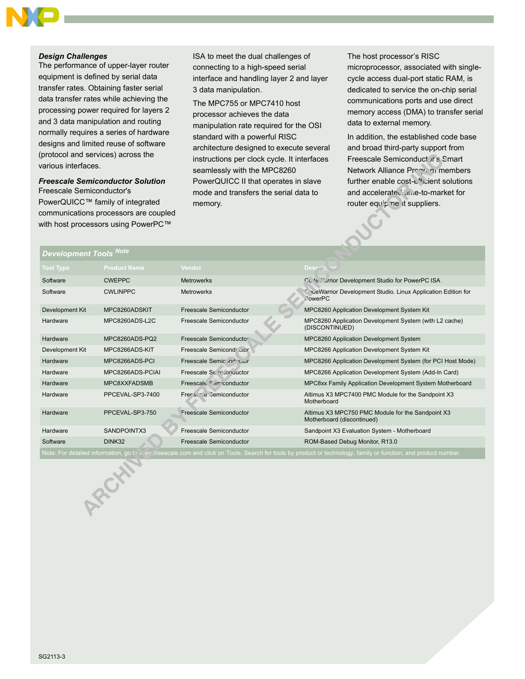## *Design Challenges*

The performance of upper-layer router equipment is defined by serial data transfer rates. Obtaining faster serial data transfer rates while achieving the processing power required for layers 2 and 3 data manipulation and routing normally requires a series of hardware designs and limited reuse of software (protocol and services) across the various interfaces.

## *Freescale Semiconductor Solution* Freescale Semiconductor's PowerQUICC™ family of integrated communications processors are coupled with host processors using PowerPC™

ISA to meet the dual challenges of connecting to a high-speed serial interface and handling layer 2 and layer 3 data manipulation.

The MPC755 or MPC7410 host processor achieves the data manipulation rate required for the OSI standard with a powerful RISC architecture designed to execute several instructions per clock cycle. It interfaces seamlessly with the MPC8260 PowerQUICC II that operates in slave mode and transfers the serial data to memory.

The host processor's RISC microprocessor, associated with singlecycle access dual-port static RAM, is dedicated to service the on-chip serial communications ports and use direct memory access (DMA) to transfer serial data to external memory.

In addition, the established code base and broad third-party support from Freescale Semiconduct or's Smart Network Alliance Program members further enable cost- $e^{4}$ <sub>l</sub>cient solutions and accelerated and accelerated the standard for router equipment suppliers.

| Development Tools <sup>Notel</sup>                                                                                                                             |                     |                           |                                                                                       |  |
|----------------------------------------------------------------------------------------------------------------------------------------------------------------|---------------------|---------------------------|---------------------------------------------------------------------------------------|--|
| <b>Tool Type</b>                                                                                                                                               | <b>Product Name</b> | Vendor                    | Description                                                                           |  |
| Software                                                                                                                                                       | <b>CWEPPC</b>       | <b>Metrowerks</b>         | Co. <sup>4</sup> e Murrior Development Studio for PowerPC ISA                         |  |
| Software                                                                                                                                                       | <b>CWLINPPC</b>     | <b>Metrowerks</b>         | <b>Collection Cevelopment Studio. Linux Application Edition for</b><br><b>DowerPC</b> |  |
| Development Kit                                                                                                                                                | MPC8260ADSKIT       | Freescale Semiconductor   | MPC8260 Application Development System Kit                                            |  |
| Hardware                                                                                                                                                       | MPC8260ADS-L2C      | Freescale Semiconductor   | MPC8260 Application Development System (with L2 cache)<br>(DISCONTINUED)              |  |
| Hardware                                                                                                                                                       | MPC8260ADS-PQ2      | Freescale Semiconductor   | MPC8260 Application Development System                                                |  |
| Development Kit                                                                                                                                                | MPC8266ADS-KIT      | Freescale Semicond' ctor  | MPC8266 Application Development System Kit                                            |  |
| Hardware                                                                                                                                                       | MPC8266ADS-PCI      | Freescale Semic inductor  | MPC8266 Application Development System (for PCI Host Mode)                            |  |
| Hardware                                                                                                                                                       | MPC8266ADS-PCIAL    | Freescale Sent Conquictor | MPC8266 Application Development System (Add-In Card)                                  |  |
| Hardware                                                                                                                                                       | MPC8XXFADSMB        | Freescale Samiconductor   | MPC8xx Family Application Development System Motherboard                              |  |
| Hardware                                                                                                                                                       | PPCEVAL-SP3-7400    | Frees, cle Cemiconductor  | Altimus X3 MPC7400 PMC Module for the Sandpoint X3<br>Motherboard                     |  |
| Hardware                                                                                                                                                       | PPCEVAL-SP3-750     | Freescale Semiconductor   | Altimus X3 MPC750 PMC Module for the Sandpoint X3<br>Motherboard (discontinued)       |  |
| Hardware                                                                                                                                                       | SANDPOINTX3         | Freescale Semiconductor   | Sandpoint X3 Evaluation System - Motherboard                                          |  |
| Software                                                                                                                                                       | DINK32              | Freescale Semiconductor   | ROM-Based Debug Monitor, R13.0                                                        |  |
| Note: For detailed information, go t ヽ w .íreescale.com and click on Tools. Search for tools by product or technology, family or function, and product number. |                     |                           |                                                                                       |  |